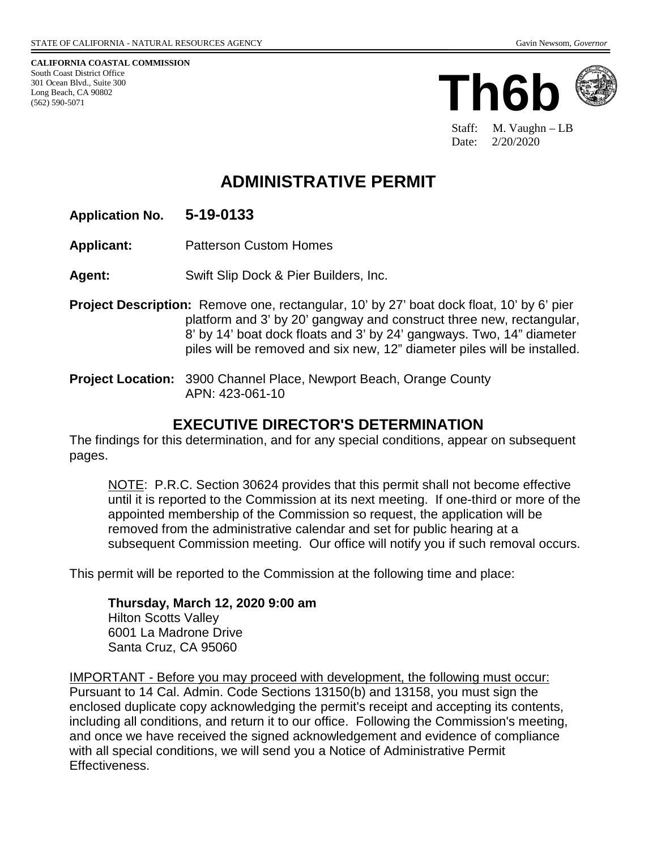**CALIFORNIA COASTAL COMMISSION** South Coast District Office 301 Ocean Blvd., Suite 300 Long Beach, CA 90802 (562) 590-5071



Staff: M. Vaughn – LB Date: 2/20/2020

# **ADMINISTRATIVE PERMIT**

- **Application No. 5-19-0133**
- **Applicant:** Patterson Custom Homes
- **Agent:** Swift Slip Dock & Pier Builders, Inc.
- **Project Description:** Remove one, rectangular, 10' by 27' boat dock float, 10' by 6' pier platform and 3' by 20' gangway and construct three new, rectangular, 8' by 14' boat dock floats and 3' by 24' gangways. Two, 14" diameter piles will be removed and six new, 12" diameter piles will be installed.
- **Project Location:** 3900 Channel Place, Newport Beach, Orange County APN: 423-061-10

### **EXECUTIVE DIRECTOR'S DETERMINATION**

The findings for this determination, and for any special conditions, appear on subsequent pages.

NOTE: P.R.C. Section 30624 provides that this permit shall not become effective until it is reported to the Commission at its next meeting. If one-third or more of the appointed membership of the Commission so request, the application will be removed from the administrative calendar and set for public hearing at a subsequent Commission meeting. Our office will notify you if such removal occurs.

This permit will be reported to the Commission at the following time and place:

**Thursday, March 12, 2020 9:00 am** Hilton Scotts Valley 6001 La Madrone Drive Santa Cruz, CA 95060

IMPORTANT - Before you may proceed with development, the following must occur: Pursuant to 14 Cal. Admin. Code Sections 13150(b) and 13158, you must sign the enclosed duplicate copy acknowledging the permit's receipt and accepting its contents, including all conditions, and return it to our office. Following the Commission's meeting, and once we have received the signed acknowledgement and evidence of compliance with all special conditions, we will send you a Notice of Administrative Permit Effectiveness.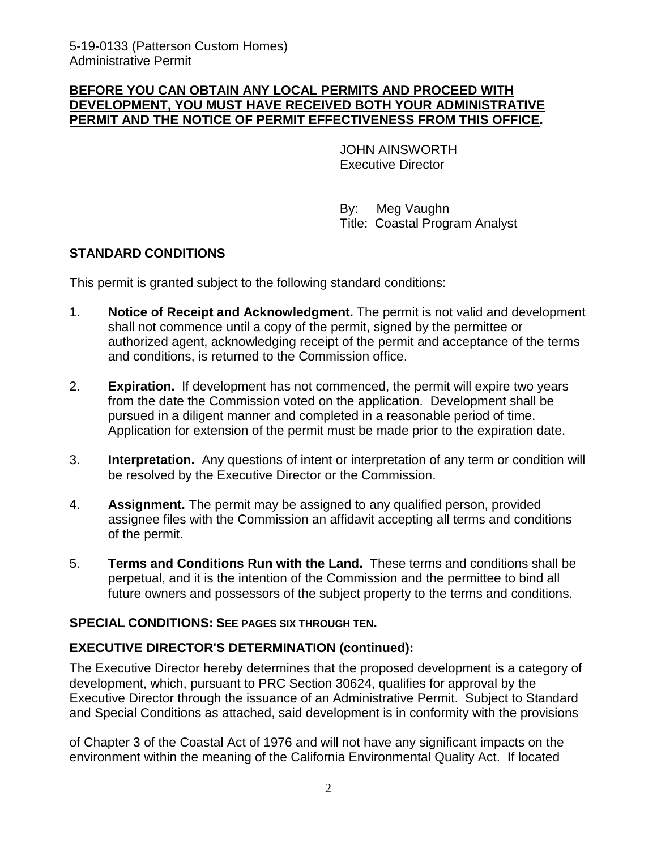#### **BEFORE YOU CAN OBTAIN ANY LOCAL PERMITS AND PROCEED WITH DEVELOPMENT, YOU MUST HAVE RECEIVED BOTH YOUR ADMINISTRATIVE PERMIT AND THE NOTICE OF PERMIT EFFECTIVENESS FROM THIS OFFICE.**

JOHN AINSWORTH Executive Director

 By: Meg Vaughn Title: Coastal Program Analyst

### **STANDARD CONDITIONS**

This permit is granted subject to the following standard conditions:

- 1. **Notice of Receipt and Acknowledgment.** The permit is not valid and development shall not commence until a copy of the permit, signed by the permittee or authorized agent, acknowledging receipt of the permit and acceptance of the terms and conditions, is returned to the Commission office.
- 2. **Expiration.** If development has not commenced, the permit will expire two years from the date the Commission voted on the application. Development shall be pursued in a diligent manner and completed in a reasonable period of time. Application for extension of the permit must be made prior to the expiration date.
- 3. **Interpretation.** Any questions of intent or interpretation of any term or condition will be resolved by the Executive Director or the Commission.
- 4. **Assignment.** The permit may be assigned to any qualified person, provided assignee files with the Commission an affidavit accepting all terms and conditions of the permit.
- 5. **Terms and Conditions Run with the Land.** These terms and conditions shall be perpetual, and it is the intention of the Commission and the permittee to bind all future owners and possessors of the subject property to the terms and conditions.

#### **SPECIAL CONDITIONS: SEE PAGES SIX THROUGH TEN.**

### **EXECUTIVE DIRECTOR'S DETERMINATION (continued):**

The Executive Director hereby determines that the proposed development is a category of development, which, pursuant to PRC Section 30624, qualifies for approval by the Executive Director through the issuance of an Administrative Permit. Subject to Standard and Special Conditions as attached, said development is in conformity with the provisions

of Chapter 3 of the Coastal Act of 1976 and will not have any significant impacts on the environment within the meaning of the California Environmental Quality Act. If located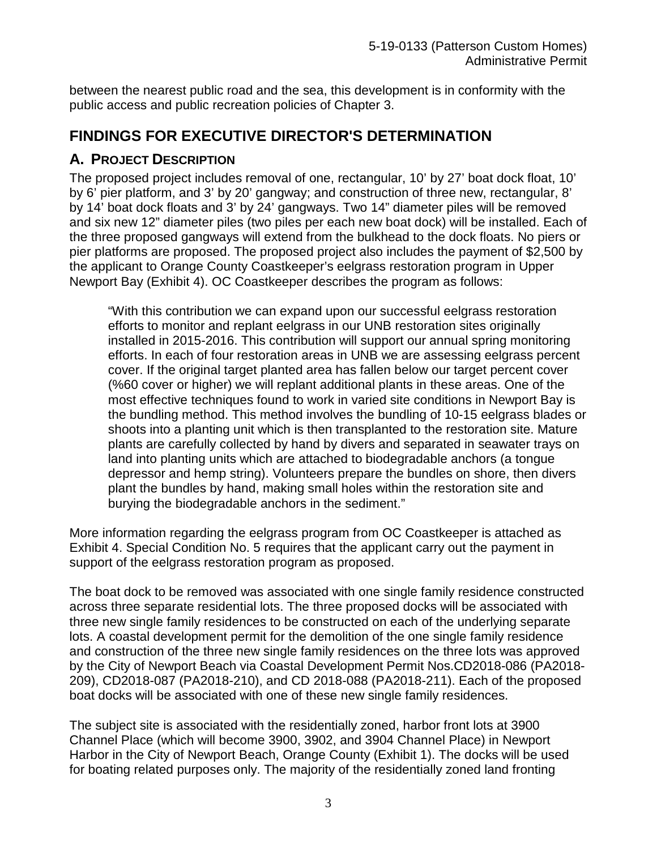between the nearest public road and the sea, this development is in conformity with the public access and public recreation policies of Chapter 3.

# **FINDINGS FOR EXECUTIVE DIRECTOR'S DETERMINATION**

### **A. PROJECT DESCRIPTION**

The proposed project includes removal of one, rectangular, 10' by 27' boat dock float, 10' by 6' pier platform, and 3' by 20' gangway; and construction of three new, rectangular, 8' by 14' boat dock floats and 3' by 24' gangways. Two 14" diameter piles will be removed and six new 12" diameter piles (two piles per each new boat dock) will be installed. Each of the three proposed gangways will extend from the bulkhead to the dock floats. No piers or pier platforms are proposed. The proposed project also includes the payment of \$2,500 by the applicant to Orange County Coastkeeper's eelgrass restoration program in Upper Newport Bay (Exhibit 4). OC Coastkeeper describes the program as follows:

"With this contribution we can expand upon our successful eelgrass restoration efforts to monitor and replant eelgrass in our UNB restoration sites originally installed in 2015-2016. This contribution will support our annual spring monitoring efforts. In each of four restoration areas in UNB we are assessing eelgrass percent cover. If the original target planted area has fallen below our target percent cover (%60 cover or higher) we will replant additional plants in these areas. One of the most effective techniques found to work in varied site conditions in Newport Bay is the bundling method. This method involves the bundling of 10-15 eelgrass blades or shoots into a planting unit which is then transplanted to the restoration site. Mature plants are carefully collected by hand by divers and separated in seawater trays on land into planting units which are attached to biodegradable anchors (a tongue depressor and hemp string). Volunteers prepare the bundles on shore, then divers plant the bundles by hand, making small holes within the restoration site and burying the biodegradable anchors in the sediment."

More information regarding the eelgrass program from OC Coastkeeper is attached as Exhibit 4. Special Condition No. 5 requires that the applicant carry out the payment in support of the eelgrass restoration program as proposed.

The boat dock to be removed was associated with one single family residence constructed across three separate residential lots. The three proposed docks will be associated with three new single family residences to be constructed on each of the underlying separate lots. A coastal development permit for the demolition of the one single family residence and construction of the three new single family residences on the three lots was approved by the City of Newport Beach via Coastal Development Permit Nos.CD2018-086 (PA2018- 209), CD2018-087 (PA2018-210), and CD 2018-088 (PA2018-211). Each of the proposed boat docks will be associated with one of these new single family residences.

The subject site is associated with the residentially zoned, harbor front lots at 3900 Channel Place (which will become 3900, 3902, and 3904 Channel Place) in Newport Harbor in the City of Newport Beach, Orange County (Exhibit 1). The docks will be used for boating related purposes only. The majority of the residentially zoned land fronting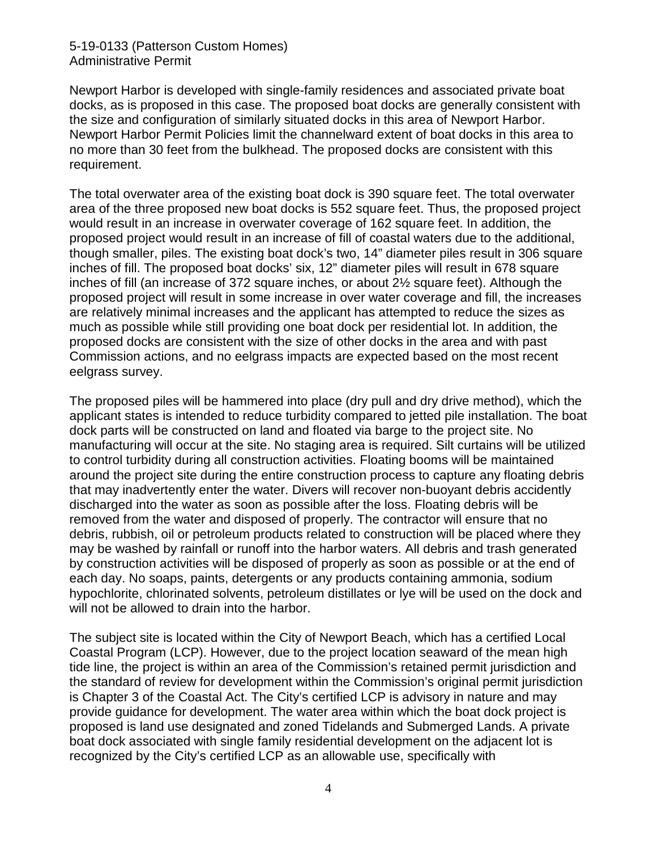5-19-0133 (Patterson Custom Homes) Administrative Permit

Newport Harbor is developed with single-family residences and associated private boat docks, as is proposed in this case. The proposed boat docks are generally consistent with the size and configuration of similarly situated docks in this area of Newport Harbor. Newport Harbor Permit Policies limit the channelward extent of boat docks in this area to no more than 30 feet from the bulkhead. The proposed docks are consistent with this requirement.

The total overwater area of the existing boat dock is 390 square feet. The total overwater area of the three proposed new boat docks is 552 square feet. Thus, the proposed project would result in an increase in overwater coverage of 162 square feet. In addition, the proposed project would result in an increase of fill of coastal waters due to the additional, though smaller, piles. The existing boat dock's two, 14" diameter piles result in 306 square inches of fill. The proposed boat docks' six, 12" diameter piles will result in 678 square inches of fill (an increase of 372 square inches, or about 2½ square feet). Although the proposed project will result in some increase in over water coverage and fill, the increases are relatively minimal increases and the applicant has attempted to reduce the sizes as much as possible while still providing one boat dock per residential lot. In addition, the proposed docks are consistent with the size of other docks in the area and with past Commission actions, and no eelgrass impacts are expected based on the most recent eelgrass survey.

The proposed piles will be hammered into place (dry pull and dry drive method), which the applicant states is intended to reduce turbidity compared to jetted pile installation. The boat dock parts will be constructed on land and floated via barge to the project site. No manufacturing will occur at the site. No staging area is required. Silt curtains will be utilized to control turbidity during all construction activities. Floating booms will be maintained around the project site during the entire construction process to capture any floating debris that may inadvertently enter the water. Divers will recover non-buoyant debris accidently discharged into the water as soon as possible after the loss. Floating debris will be removed from the water and disposed of properly. The contractor will ensure that no debris, rubbish, oil or petroleum products related to construction will be placed where they may be washed by rainfall or runoff into the harbor waters. All debris and trash generated by construction activities will be disposed of properly as soon as possible or at the end of each day. No soaps, paints, detergents or any products containing ammonia, sodium hypochlorite, chlorinated solvents, petroleum distillates or lye will be used on the dock and will not be allowed to drain into the harbor.

The subject site is located within the City of Newport Beach, which has a certified Local Coastal Program (LCP). However, due to the project location seaward of the mean high tide line, the project is within an area of the Commission's retained permit jurisdiction and the standard of review for development within the Commission's original permit jurisdiction is Chapter 3 of the Coastal Act. The City's certified LCP is advisory in nature and may provide guidance for development. The water area within which the boat dock project is proposed is land use designated and zoned Tidelands and Submerged Lands. A private boat dock associated with single family residential development on the adjacent lot is recognized by the City's certified LCP as an allowable use, specifically with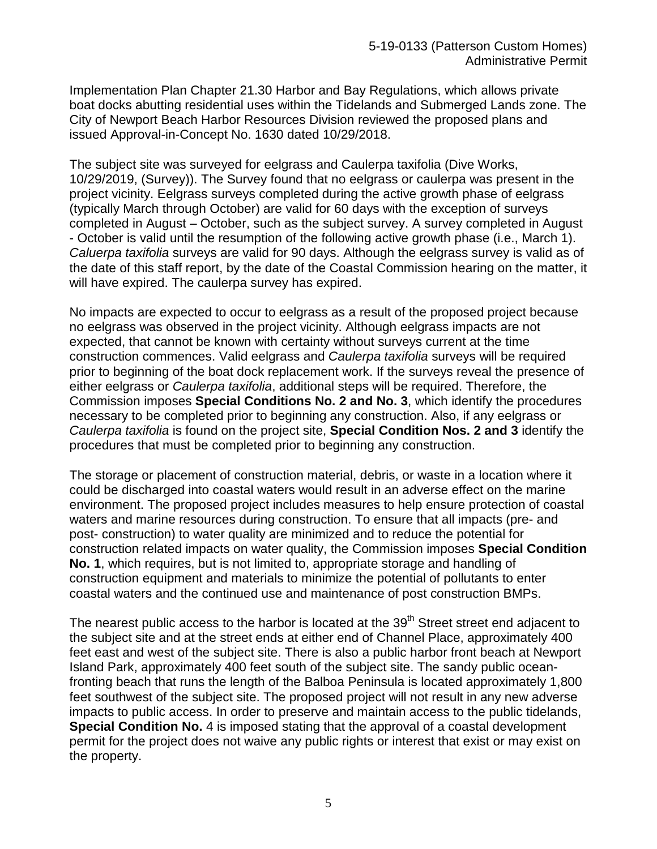Implementation Plan Chapter 21.30 Harbor and Bay Regulations, which allows private boat docks abutting residential uses within the Tidelands and Submerged Lands zone. The City of Newport Beach Harbor Resources Division reviewed the proposed plans and issued Approval-in-Concept No. 1630 dated 10/29/2018.

The subject site was surveyed for eelgrass and Caulerpa taxifolia (Dive Works, 10/29/2019, (Survey)). The Survey found that no eelgrass or caulerpa was present in the project vicinity. Eelgrass surveys completed during the active growth phase of eelgrass (typically March through October) are valid for 60 days with the exception of surveys completed in August – October, such as the subject survey. A survey completed in August - October is valid until the resumption of the following active growth phase (i.e., March 1). *Caluerpa taxifolia* surveys are valid for 90 days. Although the eelgrass survey is valid as of the date of this staff report, by the date of the Coastal Commission hearing on the matter, it will have expired. The caulerpa survey has expired.

No impacts are expected to occur to eelgrass as a result of the proposed project because no eelgrass was observed in the project vicinity. Although eelgrass impacts are not expected, that cannot be known with certainty without surveys current at the time construction commences. Valid eelgrass and *Caulerpa taxifolia* surveys will be required prior to beginning of the boat dock replacement work. If the surveys reveal the presence of either eelgrass or *Caulerpa taxifolia*, additional steps will be required. Therefore, the Commission imposes **Special Conditions No. 2 and No. 3**, which identify the procedures necessary to be completed prior to beginning any construction. Also, if any eelgrass or *Caulerpa taxifolia* is found on the project site, **Special Condition Nos. 2 and 3** identify the procedures that must be completed prior to beginning any construction.

The storage or placement of construction material, debris, or waste in a location where it could be discharged into coastal waters would result in an adverse effect on the marine environment. The proposed project includes measures to help ensure protection of coastal waters and marine resources during construction. To ensure that all impacts (pre- and post- construction) to water quality are minimized and to reduce the potential for construction related impacts on water quality, the Commission imposes **Special Condition No. 1**, which requires, but is not limited to, appropriate storage and handling of construction equipment and materials to minimize the potential of pollutants to enter coastal waters and the continued use and maintenance of post construction BMPs.

The nearest public access to the harbor is located at the 39<sup>th</sup> Street street end adjacent to the subject site and at the street ends at either end of Channel Place, approximately 400 feet east and west of the subject site. There is also a public harbor front beach at Newport Island Park, approximately 400 feet south of the subject site. The sandy public oceanfronting beach that runs the length of the Balboa Peninsula is located approximately 1,800 feet southwest of the subject site. The proposed project will not result in any new adverse impacts to public access. In order to preserve and maintain access to the public tidelands, **Special Condition No.** 4 is imposed stating that the approval of a coastal development permit for the project does not waive any public rights or interest that exist or may exist on the property.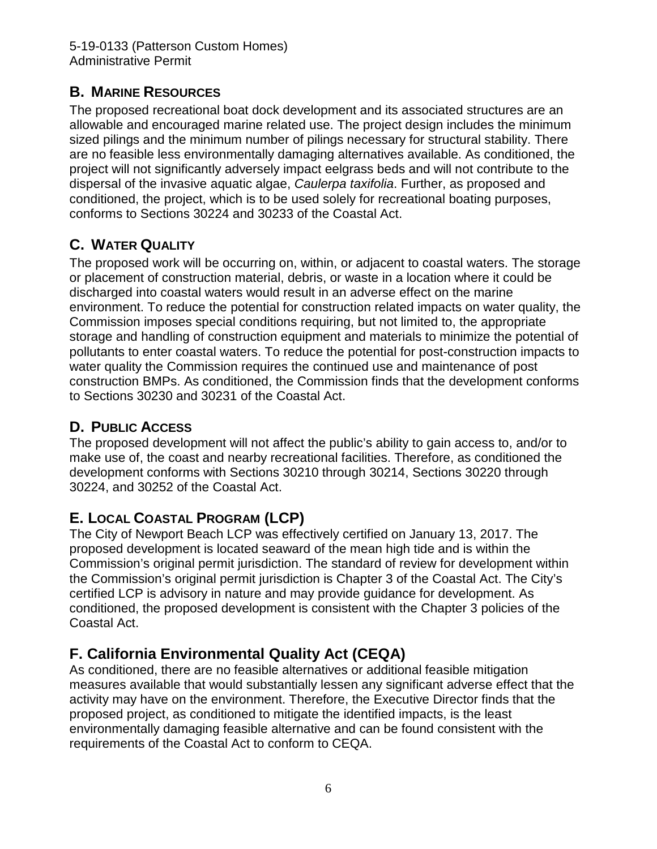## **B. MARINE RESOURCES**

The proposed recreational boat dock development and its associated structures are an allowable and encouraged marine related use. The project design includes the minimum sized pilings and the minimum number of pilings necessary for structural stability. There are no feasible less environmentally damaging alternatives available. As conditioned, the project will not significantly adversely impact eelgrass beds and will not contribute to the dispersal of the invasive aquatic algae, *Caulerpa taxifolia*. Further, as proposed and conditioned, the project, which is to be used solely for recreational boating purposes, conforms to Sections 30224 and 30233 of the Coastal Act.

# **C. WATER QUALITY**

The proposed work will be occurring on, within, or adjacent to coastal waters. The storage or placement of construction material, debris, or waste in a location where it could be discharged into coastal waters would result in an adverse effect on the marine environment. To reduce the potential for construction related impacts on water quality, the Commission imposes special conditions requiring, but not limited to, the appropriate storage and handling of construction equipment and materials to minimize the potential of pollutants to enter coastal waters. To reduce the potential for post-construction impacts to water quality the Commission requires the continued use and maintenance of post construction BMPs. As conditioned, the Commission finds that the development conforms to Sections 30230 and 30231 of the Coastal Act.

## **D. PUBLIC ACCESS**

The proposed development will not affect the public's ability to gain access to, and/or to make use of, the coast and nearby recreational facilities. Therefore, as conditioned the development conforms with Sections 30210 through 30214, Sections 30220 through 30224, and 30252 of the Coastal Act.

# **E. LOCAL COASTAL PROGRAM (LCP)**

The City of Newport Beach LCP was effectively certified on January 13, 2017. The proposed development is located seaward of the mean high tide and is within the Commission's original permit jurisdiction. The standard of review for development within the Commission's original permit jurisdiction is Chapter 3 of the Coastal Act. The City's certified LCP is advisory in nature and may provide guidance for development. As conditioned, the proposed development is consistent with the Chapter 3 policies of the Coastal Act.

# **F. California Environmental Quality Act (CEQA)**

As conditioned, there are no feasible alternatives or additional feasible mitigation measures available that would substantially lessen any significant adverse effect that the activity may have on the environment. Therefore, the Executive Director finds that the proposed project, as conditioned to mitigate the identified impacts, is the least environmentally damaging feasible alternative and can be found consistent with the requirements of the Coastal Act to conform to CEQA.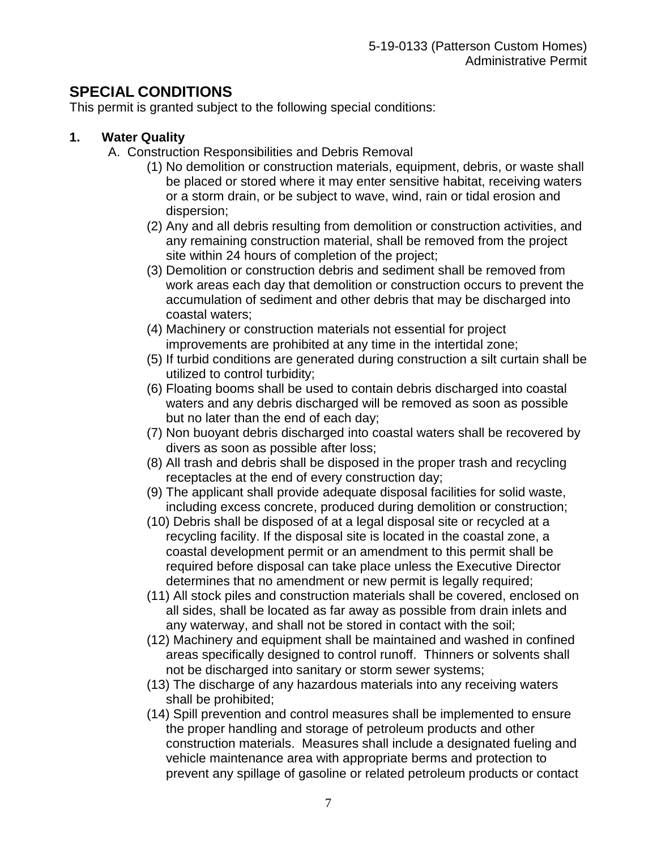# **SPECIAL CONDITIONS**

This permit is granted subject to the following special conditions:

### **1. Water Quality**

- A. Construction Responsibilities and Debris Removal
	- (1) No demolition or construction materials, equipment, debris, or waste shall be placed or stored where it may enter sensitive habitat, receiving waters or a storm drain, or be subject to wave, wind, rain or tidal erosion and dispersion;
	- (2) Any and all debris resulting from demolition or construction activities, and any remaining construction material, shall be removed from the project site within 24 hours of completion of the project;
	- (3) Demolition or construction debris and sediment shall be removed from work areas each day that demolition or construction occurs to prevent the accumulation of sediment and other debris that may be discharged into coastal waters;
	- (4) Machinery or construction materials not essential for project improvements are prohibited at any time in the intertidal zone;
	- (5) If turbid conditions are generated during construction a silt curtain shall be utilized to control turbidity;
	- (6) Floating booms shall be used to contain debris discharged into coastal waters and any debris discharged will be removed as soon as possible but no later than the end of each day;
	- (7) Non buoyant debris discharged into coastal waters shall be recovered by divers as soon as possible after loss;
	- (8) All trash and debris shall be disposed in the proper trash and recycling receptacles at the end of every construction day;
	- (9) The applicant shall provide adequate disposal facilities for solid waste, including excess concrete, produced during demolition or construction;
	- (10) Debris shall be disposed of at a legal disposal site or recycled at a recycling facility. If the disposal site is located in the coastal zone, a coastal development permit or an amendment to this permit shall be required before disposal can take place unless the Executive Director determines that no amendment or new permit is legally required;
	- (11) All stock piles and construction materials shall be covered, enclosed on all sides, shall be located as far away as possible from drain inlets and any waterway, and shall not be stored in contact with the soil;
	- (12) Machinery and equipment shall be maintained and washed in confined areas specifically designed to control runoff. Thinners or solvents shall not be discharged into sanitary or storm sewer systems;
	- (13) The discharge of any hazardous materials into any receiving waters shall be prohibited;
	- (14) Spill prevention and control measures shall be implemented to ensure the proper handling and storage of petroleum products and other construction materials. Measures shall include a designated fueling and vehicle maintenance area with appropriate berms and protection to prevent any spillage of gasoline or related petroleum products or contact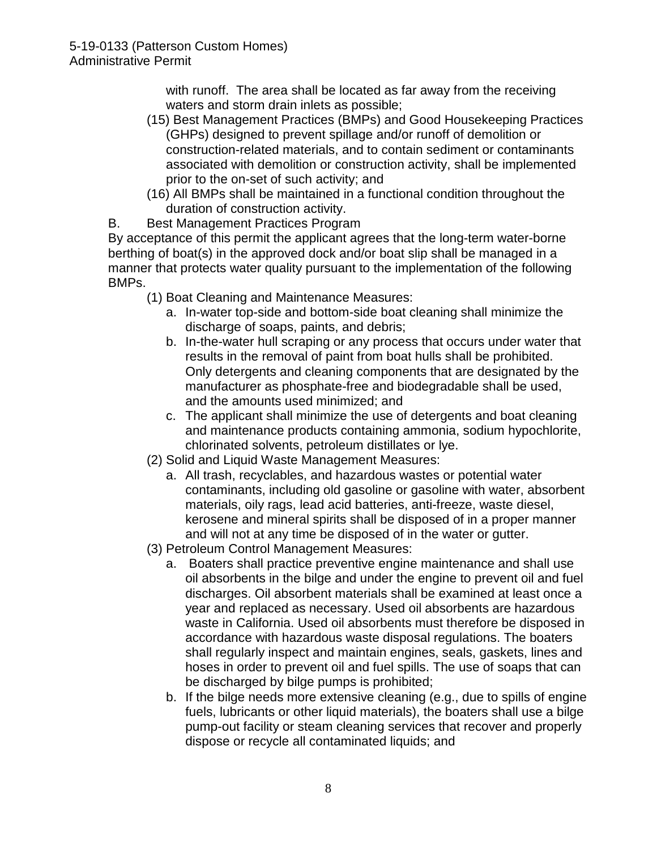with runoff. The area shall be located as far away from the receiving waters and storm drain inlets as possible;

- (15) Best Management Practices (BMPs) and Good Housekeeping Practices (GHPs) designed to prevent spillage and/or runoff of demolition or construction-related materials, and to contain sediment or contaminants associated with demolition or construction activity, shall be implemented prior to the on-set of such activity; and
- (16) All BMPs shall be maintained in a functional condition throughout the duration of construction activity.
- B. Best Management Practices Program

By acceptance of this permit the applicant agrees that the long-term water-borne berthing of boat(s) in the approved dock and/or boat slip shall be managed in a manner that protects water quality pursuant to the implementation of the following BMPs.

- (1) Boat Cleaning and Maintenance Measures:
	- a. In-water top-side and bottom-side boat cleaning shall minimize the discharge of soaps, paints, and debris;
	- b. In-the-water hull scraping or any process that occurs under water that results in the removal of paint from boat hulls shall be prohibited. Only detergents and cleaning components that are designated by the manufacturer as phosphate-free and biodegradable shall be used, and the amounts used minimized; and
	- c. The applicant shall minimize the use of detergents and boat cleaning and maintenance products containing ammonia, sodium hypochlorite, chlorinated solvents, petroleum distillates or lye.
- (2) Solid and Liquid Waste Management Measures:
	- a. All trash, recyclables, and hazardous wastes or potential water contaminants, including old gasoline or gasoline with water, absorbent materials, oily rags, lead acid batteries, anti-freeze, waste diesel, kerosene and mineral spirits shall be disposed of in a proper manner and will not at any time be disposed of in the water or gutter.
- (3) Petroleum Control Management Measures:
	- a. Boaters shall practice preventive engine maintenance and shall use oil absorbents in the bilge and under the engine to prevent oil and fuel discharges. Oil absorbent materials shall be examined at least once a year and replaced as necessary. Used oil absorbents are hazardous waste in California. Used oil absorbents must therefore be disposed in accordance with hazardous waste disposal regulations. The boaters shall regularly inspect and maintain engines, seals, gaskets, lines and hoses in order to prevent oil and fuel spills. The use of soaps that can be discharged by bilge pumps is prohibited;
	- b. If the bilge needs more extensive cleaning (e.g., due to spills of engine fuels, lubricants or other liquid materials), the boaters shall use a bilge pump-out facility or steam cleaning services that recover and properly dispose or recycle all contaminated liquids; and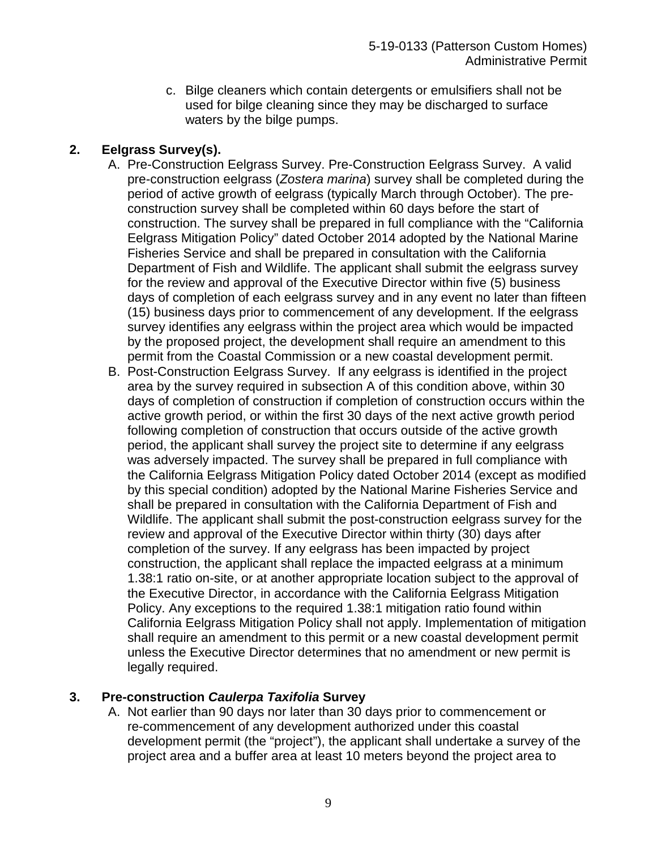c. Bilge cleaners which contain detergents or emulsifiers shall not be used for bilge cleaning since they may be discharged to surface waters by the bilge pumps.

### **2. Eelgrass Survey(s).**

- A. Pre-Construction Eelgrass Survey. Pre-Construction Eelgrass Survey. A valid pre-construction eelgrass (*Zostera marina*) survey shall be completed during the period of active growth of eelgrass (typically March through October). The preconstruction survey shall be completed within 60 days before the start of construction. The survey shall be prepared in full compliance with the "California Eelgrass Mitigation Policy" dated October 2014 adopted by the National Marine Fisheries Service and shall be prepared in consultation with the California Department of Fish and Wildlife. The applicant shall submit the eelgrass survey for the review and approval of the Executive Director within five (5) business days of completion of each eelgrass survey and in any event no later than fifteen (15) business days prior to commencement of any development. If the eelgrass survey identifies any eelgrass within the project area which would be impacted by the proposed project, the development shall require an amendment to this permit from the Coastal Commission or a new coastal development permit.
- B. Post-Construction Eelgrass Survey. If any eelgrass is identified in the project area by the survey required in subsection A of this condition above, within 30 days of completion of construction if completion of construction occurs within the active growth period, or within the first 30 days of the next active growth period following completion of construction that occurs outside of the active growth period, the applicant shall survey the project site to determine if any eelgrass was adversely impacted. The survey shall be prepared in full compliance with the California Eelgrass Mitigation Policy dated October 2014 (except as modified by this special condition) adopted by the National Marine Fisheries Service and shall be prepared in consultation with the California Department of Fish and Wildlife. The applicant shall submit the post-construction eelgrass survey for the review and approval of the Executive Director within thirty (30) days after completion of the survey. If any eelgrass has been impacted by project construction, the applicant shall replace the impacted eelgrass at a minimum 1.38:1 ratio on-site, or at another appropriate location subject to the approval of the Executive Director, in accordance with the California Eelgrass Mitigation Policy. Any exceptions to the required 1.38:1 mitigation ratio found within California Eelgrass Mitigation Policy shall not apply. Implementation of mitigation shall require an amendment to this permit or a new coastal development permit unless the Executive Director determines that no amendment or new permit is legally required.

### **3. Pre-construction** *Caulerpa Taxifolia* **Survey**

A. Not earlier than 90 days nor later than 30 days prior to commencement or re-commencement of any development authorized under this coastal development permit (the "project"), the applicant shall undertake a survey of the project area and a buffer area at least 10 meters beyond the project area to